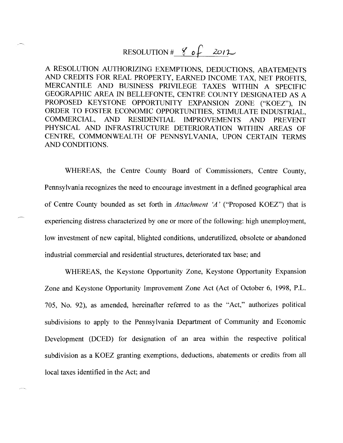# RESOLUTION  $\frac{g}{20}$   $\frac{g}{2012}$

A RESOLUTION AUTHORIZING EXEMPTIONS, DEDUCTIONS, ABATEMENTS AND CREDITS FOR REAL PROPERTY, EARNED INCOME TAX, NET PROFITS, MERCANTILE AND BUSINESS PRIVILEGE TAXES WITHIN A SPECIFIC GEOGRAPHIC AREA IN BELLEFONTE, CENTRE COUNTY DESIGNATED AS A PROPOSED KEYSTONE OPPORTUNITY EXPANSION ZONE ("KOEZ"), IN ORDER TO FOSTER ECONOMIC OPPORTUNITIES, STIMULATE INDUSTRIAL, COMMERCIAL, AND RESIDENTIAL IMPROVEMENTS AND PREVENT PHYSICAL AND INFRASTRUCTURE DETERIORATION WITHIN AREAS OF CENTRE, COMMONWEALTH OF PENNSYLVANIA, UPON CERTAIN TERMS AND CONDITIONS.

WHEREAS, the Centre County Board of Commissioners, Centre County, Pennsylvania recognizes the need to encourage investment in a defined geographical area of Centre County bounded as set forth in *Attachment `A'* ("Proposed KOEZ") that is experiencing distress characterized by one or more of the following: high unemployment, low investment of new capital, blighted conditions, underutilized, obsolete or abandoned industrial commercial and residential structures, deteriorated tax base; and

WHEREAS, the Keystone Opportunity Zone, Keystone Opportunity Expansion Zone and Keystone Opportunity Improvement Zone Act (Act of October 6, 1998, P.L. 705, No. 92), as amended, hereinafter referred to as the "Act," authorizes political subdivisions to apply to the Pennsylvania Department of Community and Economic Development (DCED) for designation of an area within the respective political subdivision as a KOEZ granting exemptions, deductions, abatements or credits from all local taxes identified in the Act; and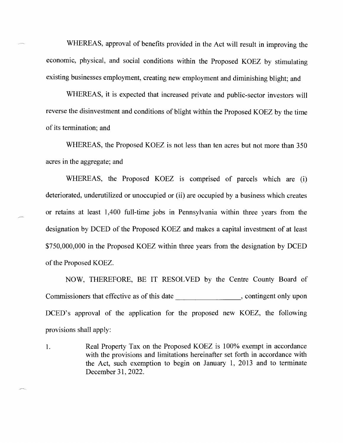WHEREAS, approval of benefits provided in the Act will result in improving the economic, physical, and social conditions within the Proposed KOEZ by stimulating existing businesses employment, creating new employment and diminishing blight; and

WHEREAS, it is expected that increased private and public-sector investors will reverse the disinvestment and conditions of blight within the Proposed KOEZ by the time of its termination; and

WHEREAS, the Proposed KOEZ is not less than ten acres but not more than *350*  acres in the aggregate; and

WHEREAS, the Proposed KOEZ is comprised of parcels which are (i) deteriorated, underutilized or unoccupied or (ii) are occupied by a business which creates or retains at least 1,400 full-time jobs in Pennsylvania within three years from the designation by DCED of the Proposed KOEZ and makes a capital investment of at least \$750,000,000 in the Proposed KOEZ within three years from the designation by DCED of the Proposed KOEZ.

NOW, THEREFORE, BE IT RESOLVED by the Centre County Board of Commissioners that effective as of this date , contingent only upon DCED's approval of the application for the proposed new KOEZ, the following provisions shall apply:

Real Property Tax on the Proposed KOEZ is 100% exempt in accordance 1. with the provisions and limitations hereinafter set forth in accordance with the Act, such exemption to begin on January 1, 2013 and to terminate December 31, 2022.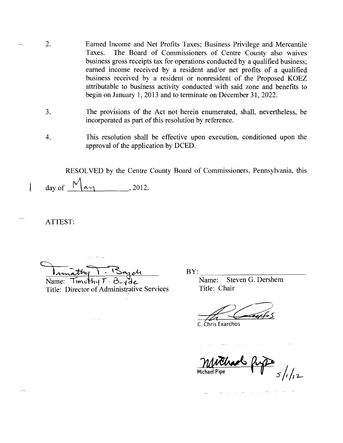- 2. Earned Income and Net Profits Taxes; Business Privilege and Mercantile Taxes. The Board of Commissioners of Centre County also waives business gross receipts tax for operations conducted by a qualified business; earned income received by a resident and/or net profits of a qualified business received by a resident or nonresident of the Proposed KOEZ attributable to business activity conducted with said zone and benefits to begin on January 1, 2013 and to terminate on December 31, 2022.
	- 3. The provisions of the Act not herein enumerated, shall, nevertheless, be incorporated as part of this resolution by reference.
	- 4. This resolution shall be effective upon execution, conditioned upon the approval of the application by DCED.

RESOLVED by the Centre County Board of Commissioners, Pennsylvania, this day of  $\bigwedge^{\mathcal{N}}$   $\alpha \gamma$ , 2012.

ATTEST:

 $\overline{\phantom{a}}$ 

Name: Timothy T. B. Yet Bervices Name: Ste<br>Title: Director of Administrative Services Title: Chair Title: Director of Administrative Services

BY: Name: Steven G. Dershem

Chris Exarchos

Thank fr / *7—* **Michael Pyipe**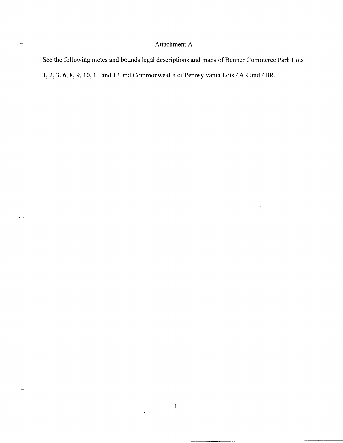### Attachment A

See the following metes and bounds legal descriptions and maps of Benner Commerce Park Lots 1, 2, 3, 6, 8, 9, 10, 11 and 12 and Commonwealth of Pennsylvania Lots 4AR and 4BR.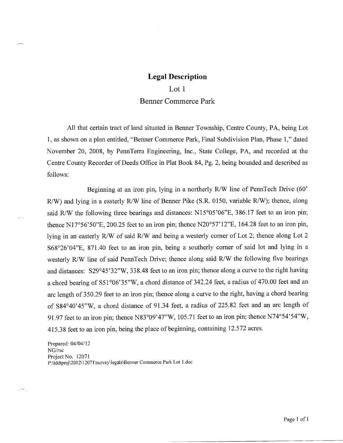#### Lot 1

#### Benner Commerce Park

All that certain tract of land situated in Benner Township, Centre County, PA, being Lot 1, as shown on a plan entitled, "Benner Commerce Park, Final Subdivision Plan, Phase 1," dated November 20, 2008, by PennTerra Engineering, Inc., State College, PA, and recorded at the Centre County Recorder of Deeds Office in Plat Book 84, Pg. 2, being bounded and described as follows:

Beginning at an iron pin, lying in a northerly  $R/W$  line of PennTech Drive (60')  $R/W$ ) and lying in a easterly  $R/W$  line of Benner Pike (S.R. 0150, variable  $R/W$ ); thence, along said R/W the following three bearings and distances:  $N15^{\circ}05'06''E$ , 386.17 feet to an iron pin; thence N17°56'50"E, 200.25 feet to an iron pin; thence N20°57'12"E, 164.28 feet to an iron pin, lying in an easterly R/W of said R/W and being a westerly corner of Lot 2; thence along Lot 2 S68°26'04"E, 871.40 feet to an iron pin, being a southerly corner of said lot and lying in a westerly R/W line of said PennTech Drive; thence along said R/W the following five bearings and distances: S29°45'32"W, 338.48 feet to an iron pin; thence along a curve to the right having a chord bearing of S51°06'35"W, a chord distance of 342.24 feet, a radius of 470.00 feet and an arc length of 350.29 feet to an iron pin; thence along a curve to the right, having a chord bearing of S84°40'45"W, a chord distance of 91.34 feet, a radius of 225.82 feet and an arc length of 91.97 feet to an iron pin; thence N83°09'47"W, 105.71 feet to an iron pin; thence N74°54'54"W, 415.38 feet to an iron pin, being the place of beginning, containing 12.572 acres.

Prepared: 04/04/12 *NG/rsc*  Project No. 12071 P:\Iddtproj\2012\12071\survey\legals\Benner Commerce Park Lot I .doc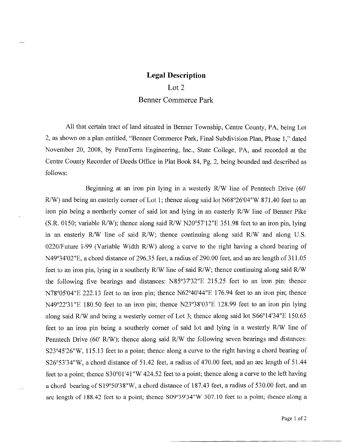Lot 2 Benner Commerce Park

All that certain tract of land situated in Benner Township, Centre County, PA, being Lot 2, as shown on a plan entitled, "Benner Commerce Park, Final Subdivision Plan, Phase 1," dated November 20, 2008, by PennTerra Engineering, Inc., State College, PA, and recorded at the Centre County Recorder of Deeds Office in Plat Book 84, Pg. 2, being bounded and described as follows:

Beginning at an iron pin lying in a westerly R/W line of Penntech Drive (60' R/W) and being an easterly corner of Lot 1; thence along said lot N68°26'04"W 871.40 feet to an iron pin being a northerly corner of said lot and lying in an easterly R/W line of Benner Pike (S.R. 0150; variable R/W); thence along said R/W N20°57'12"E 351.98 feet to an iron pin, lying in an easterly R/W line of said R/W; thence continuing along said R/W and along U.S. 0220/Future 1-99 (Variable Width R/W) along a curve to the right having a chord bearing of  $N49^{\circ}34'02''E$ , a chord distance of 296.35 feet, a radius of 290.00 feet, and an arc length of 311.05 feet to an iron pin, lying in a southerly R/W line of said R/W; thence continuing along said R/W the following five bearings and distances: N85°37'32"E 215.25 feet to an iron pin; thence N78°05'04"E 222.13 feet to an iron pin; thence N62°40'44"E 176.94 feet to an iron pin; thence N49°22'31"E 180.50 feet to an iron pin; thence N23°38'03"E 128.99 feet to an iron pin lying along said R/W and being a westerly corner of Lot 3; thence along said lot S66°14'34"E 150.65 feet to an iron pin being a southerly corner of said lot and lying in a westerly R/W line of Penntech Drive (60' R/W); thence along said R/W the following seven bearings and distances: S23°45'26"W, 115.13 feet to a point; thence along a curve to the right having a chord bearing of S26°53'34"W, a chord distance of 51.42 feet, a radius of 470.00 feet, and an arc length of 51.44 feet to a point; thence  $S30^{\circ}01'41''W 424.52$  feet to a point; thence along a curve to the left having a chord bearing of S19°50'38"W, a chord distance of 187.43 feet, a radius of 530.00 feet, and an arc length of 188.42 feet to a point; thence S09°39'34"W 307.10 feet to a point; thence along a

Page 1 of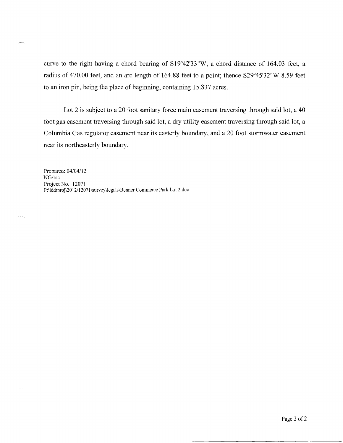curve to the right having a chord bearing of S19°42'33"W, a chord distance of 164.03 feet, a radius of 470.00 feet, and an arc length of 164.88 feet to a point; thence S29°45'32"W 8.59 feet to an iron pin, being the place of beginning, containing 15.837 acres.

Lot 2 is subject to a 20 foot sanitary force main easement traversing through said lot, a 40 foot gas easement traversing through said lot, a dry utility easement traversing through said lot, a Columbia Gas regulator easement near its easterly boundary, and a 20 foot stormwater easement near its northeasterly boundary.

Prepared: 04/04/12 *NGIrsc*  Project No. 12071 P:\Iddtproj\2012\12071\survey\legals\Benner Commerce Park Lot 2.doc

يعاجل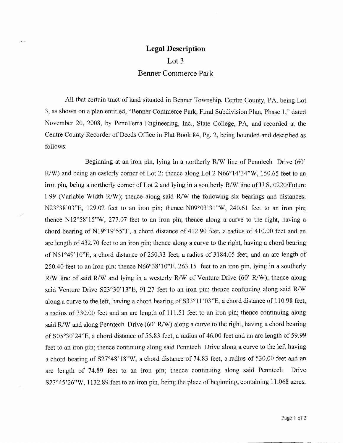Lot 3

Benner Commerce Park

All that certain tract of land situated in Benner Township, Centre County, PA, being Lot 3, as shown on a plan entitled, "Benner Commerce Park, Final Subdivision Plan, Phase 1," dated November 20, 2008, by PennTerra Engineering, Inc., State College, PA, and recorded at the Centre County Recorder of Deeds Office in Plat Book 84, Pg. 2, being bounded and described as follows:

Beginning at an iron pin, lying in a northerly R/W line of Penntech Drive (60' R/W) and being an easterly corner of Lot 2; thence along Lot 2 N66°14'34"W, 150.65 feet to an iron pin, being a northerly corner of Lot 2 and lying in a southerly R/W line of U.S. *0220/Future*  1-99 (Variable Width R/W); thence along said R/W the following six bearings and distances: N23°38'03"E, 129.02 feet to an iron pin; thence N09°03'31"W, 240.61 feet to an iron pin; thence N12°58'15"W, 277.07 feet to an iron pin; thence along a curve to the right, having a chord bearing of N19°19'55"E, a chord distance of 412.90 feet, a radius of 410.00 feet and an arc length of 432.70 feet to an iron pin; thence along a curve to the right, having a chord bearing of N51°49'10"E, a chord distance of 250.33 feet, a radius of 3184.05 feet, and an arc length of 250.40 feet to an iron pin; thence N66°38'10"E, 263.15 feet to an iron pin, lying in a southerly R/W line of said R/W and lying in a westerly R/W of Venture Drive (60' R/W); thence along said Venture Drive  $S23^{\circ}30'13''E$ , 91.27 feet to an iron pin; thence continuing along said R/W along a curve to the left, having a chord bearing of S33°1 1'03"E, a chord distance of 110.98 feet, a radius of 330.00 feet and an arc length of 111.51 feet to an iron pin; thence continuing along said R/W and along Penntech Drive (60' R/W) along a curve to the right, having a chord bearing of S05°30'24"E, a chord distance of 55.83 feet, a radius of 46.00 feet and an arc length of 59.99 feet to an iron pin; thence continuing along said Penntech Drive along a curve to the left having a chord bearing of S27°48'18"W, a chord distance of 74.83 feet, a radius of 530.00 feet and an arc length of 74.89 feet to an iron pin; thence continuing along said Penntech Drive S23°45'26"W, 1132.89 feet to an iron pin, being the place of beginning, containing 11.068 acres.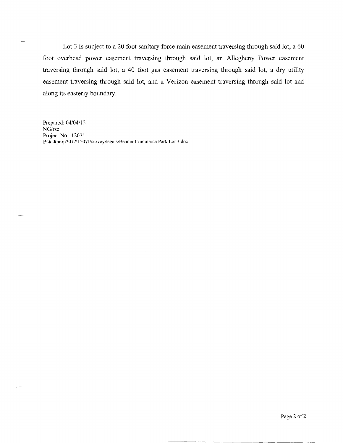Lot *3* is subject to a 20 foot sanitary force main easement traversing through said lot, a 60 foot overhead power easement traversing through said lot, an Allegheny Power easement traversing through said lot, a 40 foot gas easement traversing through said lot, a dry utility easement traversing through said lot, and a Verizon easement traversing through said lot and along its easterly boundary.

Prepared: 04/04/12 *NG/rsc*  Project No. 12071 P:\Iddtproj\2012\12071\survey\legals\Benner Commerce Park Lot 3.doc

╱

 $\sim$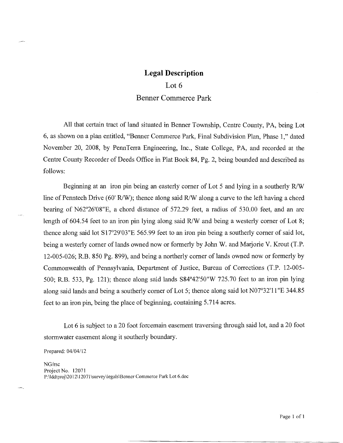# Legal Description Lot 6 Benner Commerce Park

All that certain tract of land situated in Benner Township, Centre County, PA, being Lot 6, as shown on a plan entitled, "Benner Commerce Park, Final Subdivision Plan, Phase 1," dated November 20, 2008, by PennTerra Engineering, Inc., State College, PA, and recorded at the Centre County Recorder of Deeds Office in Plat Book 84, Pg. 2, being bounded and described as follows:

Beginning at an iron pin being an easterly corner of Lot 5 and lying in a southerly R/W line of Penntech Drive (60' R/W); thence along said R/W along a curve to the left having a chord bearing of N62°26'08"E, a chord distance of 572.29 feet, a radius of 530.00 feet, and an arc length of 604.54 feet to an iron pin lying along said R/W and being a westerly corner of Lot 8; thence along said lot S17°29'03"E *565.99* feet to an iron pin being a southerly corner of said lot, being a westerly corner of lands owned now or formerly by John W. and Marjorie V. Krout (T.P. 12-005-026; R.B. 850 Pg. 899), and being a northerly corner of lands owned now or formerly by Commonwealth of Pennsylvania, Department of Justice, Bureau of Corrections (T.P. 12-005- 500; R.B. 533, Pg. 121); thence along said lands S84°42'50"W 725.70 feet to an iron pin lying along said lands and being a southerly corner of Lot 5; thence along said lot N07°32'11"E 344.85 feet to an iron pin, being the place of beginning, containing *5.7*14 acres.

Lot 6 is subject to a 20 foot forcemain easement traversing through said lot, and a 20 foot stormwater easement along it southerly boundary.

Prepared: 04/04/12

*NG/rsc*  Project No. 12071 P:\lddtproj\2012\12071\survey\legals\Benner Commerce Park Lot 6.doc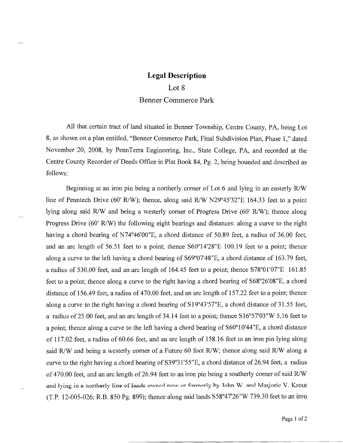### **Legal Description**  Lot 8 Benner Commerce Park

All that certain tract of land situated in Benner Township, Centre County, PA, being Lot 8, as shown on a plan entitled, "Benner Commerce Park, Final Subdivision Plan, Phase 1," dated November 20, 2008, by PennTerra Engineering, Inc., State College, PA, and recorded at the Centre County Recorder of Deeds Office in Plat Book 84, Pg. 2, being bounded and described as follows:

Beginning at an iron pin being a northerly corner of Lot 6 and lying in an easterly R/W line of Penntech Drive (60' R/W); thence, along said R/W N29°45'32"E 164.33 feet to a point lying along said R/W and being a westerly corner of Progress Drive (60' R/W); thence along Progress Drive  $(60 \text{ R/W})$  the following eight bearings and distances: along a curve to the right having a chord bearing of N74°46'00"E, a chord distance of 50.89 feet, a radius of 36.00 feet, and an arc length of *56.51* feet to a point; thence S60°14'28"E 100.19 feet to a point; thence along a curve to the left having a chord bearing of S69°07'48"E, a chord distance of 163.79 feet, a radius of 530.00 feet, and an arc length of 164.45 feet to a point; thence S78°01'07"E 161.85 feet to a point; thence along a curve to the right having a chord bearing of S68°26'08"E, a chord distance of 156.49 feet, a radius of 470.00 feet, and an arc length of 157.22 feet to a point; thence along a curve to the right having a chord bearing of Si *9°43'57"E,* a chord distance of 31.55 feet, a radius of 25.00 feet, and an arc length of 34.14 feet to a point; thence S16°57'03"W 5.16 feet to a point; thence along a curve to the left having a chord bearing of S60°10'44"E, a chord distance of 117.02 feet, a radius of 60.66 feet, and an arc length of 158.16 feet to an iron pin lying along said R/W and being a westerly corner of a Future 60 foot R/W; thence along said R/W along a curve to the right having a chord bearing of 539°3 *1'55"E,* a chord distance of 26.94 feet, a radius of 470.00 feet, and an arc length of 26.94 feet to an iron pin being a southerly corner of said R/W and lying in a northerly line of lands owned now or formerly by John W. and Marjorie V. Krout (T.P. 12-005-026; R.B. 850 Pg. 899); thence along said lands S58°47'26"W 739.30 feet to an iron

Page 1 of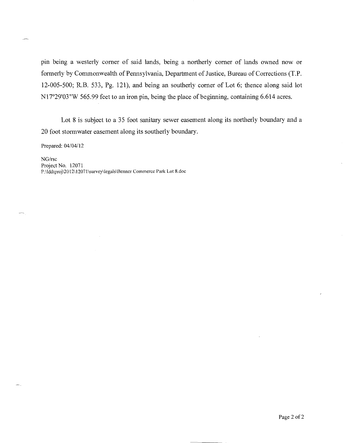pin being a westerly corner of said lands, being a northerly corner of lands owned now or formerly by Commonwealth of Pennsylvania, Department of Justice, Bureau of Corrections (T.P. 12-005-500; R.B. *533,* Pg. 121), and being an southerly corner of Lot 6; thence along said lot N17°29'03"W 565.99 feet to an iron pin, being the place of beginning, containing 6.614 acres.

Lot 8 is subject to a 35 foot sanitary sewer easement along its northerly boundary and a 20 foot stormwater easement along its southerly boundary.

Prepared: 04/04/12

*NGIrsc*  Project No. 12071 P:\Iddtproj\2012\12071\survey\legals\Benner Commerce Park Lot 8.doc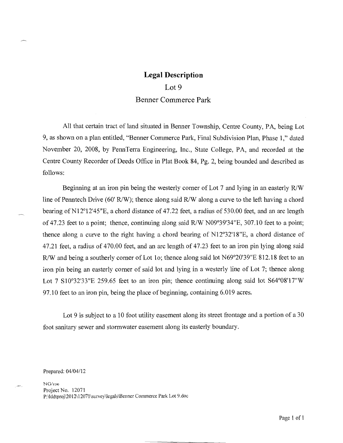#### Lot 9

#### Benner Commerce Park

All that certain tract of land situated in Benner Township, Centre County, PA, being Lot 9, as shown on a plan entitled, "Benner Commerce Park, Final Subdivision Plan, Phase 1," dated November 20, 2008, by PennTerra Engineering, Inc., State College, PA, and recorded at the Centre County Recorder of Deeds Office in Plat Book 84, Pg. 2, being bounded and described as follows:

Beginning at an iron pin being the westerly corner of Lot 7 and lying in an easterly R/W line of Penntech Drive (60' R/W); thence along said R/W along a curve to the left having a chord bearing of N12°12'45"E, a chord distance of 47.22 feet, a radius of 530.00 feet, and an arc length of 47.23 feet to a point; thence, continuing along said R/W N09°39'34"E, 307.10 feet to a point; thence along a curve to the right having a chord bearing of N12°32'18"E, a chord distance of 47.21 feet, a radius of 470.00 feet, and an arc length of 47.23 feet to an iron pin lying along said R/W and being a southerly corner of Lot 1o; thence along said lot N69°20'39"E 812.18 feet to an iron pin being an easterly corner of said lot and lying in a westerly line of Lot 7; thence along Lot 7 S10°32'33"E 259.65 feet to an iron pin; thence continuing along said lot S64°08'17"W 97.10 feet to an iron pin, being the place of beginning, containing 6.019 acres.

Lot 9 is subject to a 10 foot utility easement along its street frontage and a portion of a 30 foot sanitary sewer and stormwater easement along its easterly boundary.

Prepared: 04/04/12

NG/roc Project No. 12071 P:\Iddtproj\2012\12071\survey\legals\Benner Commerce Park Lot 9.doc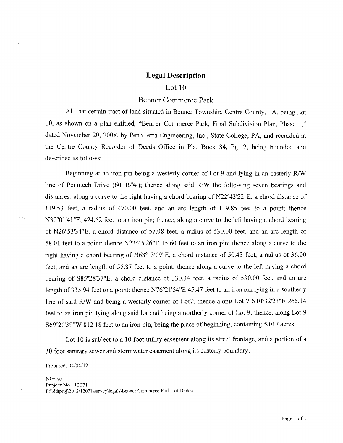#### Lot 10

#### Benner Commerce Park

All that certain tract of land situated in Benner Township, Centre County, PA, being Lot 10, as shown on a plan entitled, "Benner Commerce Park, Final Subdivision Plan, Phase 1," dated November 20, 2008, by PennTerra Engineering, Inc., State College, PA, and recorded at the Centre County Recorder of Deeds Office in Plat Book 84, Pg. 2, being bounded and described as follows:

Beginning at an iron pin being a westerly corner of Lot 9 and lying in an easterly **R/W**  line of Penntech Drive (60' R/W); thence along said R/W the following seven bearings and distances: along a curve to the right having a chord bearing of N22°43'22"E, a chord distance of 119.53 feet, a radius of 470.00 feet, and an arc length of 119.85 feet to a point; thence N30°01'41 "E, *424.52* feet to an iron pin; thence, along a curve to the left having a chord bearing of *N26°53'34"E,* a chord distance of 57.98 feet, a radius of 530.00 feet, and an arc length of 58.01 feet to a point; thence N23°45'26"E 15.60 feet to an iron pin; thence along a curve to the right having a chord bearing of N68°13'09"E, a chord distance of 50.43 feet, a radius of 36.00 feet, and an arc length of *55.87* feet to a point; thence along a curve to the left having a chord bearing of S85°28'37"E, a chord distance of 330.34 feet, a radius of 530.00 feet, and an arc length of 335.94 feet to a point; thence N76°21'54"E 45.47 feet to an iron pin lying in a southerly line of said R/W and being a westerly corner of Lot7; thence along Lot 7 S10°32'23"E 265.14 feet to an iron pin lying along said lot and being a northerly corner of Lot 9; thence, along Lot 9 S69°20'39"W 812.18 feet to an iron pin, being the place of beginning, containing 5.017 acres.

Lot 10 is subject to a 10 foot utility easement along its street frontage, and a portion of a 30 foot sanitary sewer and stormwater easement along its easterly boundary.

Prepared: 04/04/12

NG/rsc Project No. 12071 P:\lddtproj\2012\12071\survey\legals\Benner Commerce Park Lot 10.doc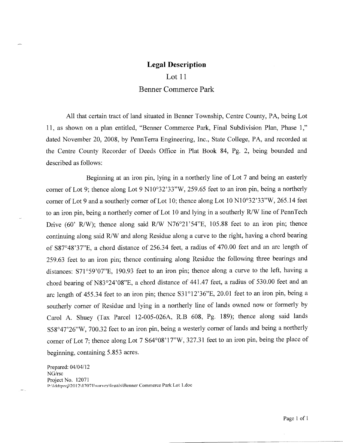# Lot 11 Benner Commerce Park

All that certain tract of land situated in Benner Township, Centre County, PA, being Lot 11, as shown on a plan entitled, "Benner Commerce Park, Final Subdivision Plan, Phase 1," dated November 20, 2008, by PennTerra Engineering, Inc., State College, PA, and recorded at the Centre County Recorder of Deeds Office in Plat Book 84, Pg. 2, being bounded and described as follows:

Beginning at an iron pin, lying in a northerly line of Lot 7 and being an easterly corner of Lot 9; thence along Lot 9 N10°32'33"W, *259.65* feet to an iron pin, being a northerly corner of Lot 9 and a southerly corner of Lot 10; thence along Lot 10 N10°32'33"W, *265.14* feet to an iron pin, being a northerly corner of Lot 10 and lying in a southerly R/W line of PennTech Drive (60' R/W); thence along said R/W *N76°21'54"E,* 105.88 feet to an iron pin; thence continuing along said R/W and along Residue along a curve to the right, having a chord bearing of S87°48'37"E, a chord distance of 256.34 feet, a radius of 470.00 feet and an arc length of *259.63* feet to an iron pin; thence continuing along Residue the following three bearings and distances: S71°59'07"E, 190.93 feet to an iron pin; thence along a curve to the left, having a chord bearing of N83°24'08"E, a chord distance of 441.47 feet, a radius of 530.00 feet and an arc length of 455.34 feet to an iron pin; thence S31°12'36"E, 20.01 feet to an iron pin, being a southerly corner of Residue and lying in a northerly line of lands owned now or formerly by Carol A. Shuey (Tax Parcel 12-005-026A, R.B 608, Pg. 189); thence along said lands S58°47'26"W, 700.32 feet to an iron pin, being a westerly corner of lands and being a northerly corner of Lot 7; thence along Lot 7 S64°08'17"W, 327.31 feet to an iron pin, being the place of beginning, containing 5.853 acres.

Prepared: 04/04/12 NG/rsc Project No. 12071 P:\Iddtproj\2012\12071\survey\legals\Benner Commerce Park Lot 1.doc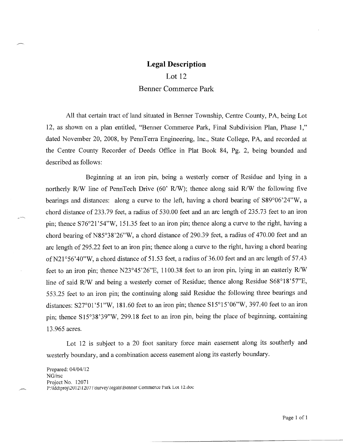Lot 12 Benner Commerce Park

All that certain tract of land situated in Benner Township, Centre County, PA, being Lot 12, as shown on a plan entitled, "Benner Commerce Park, Final Subdivision Plan, Phase 1," dated November 20, 2008, by PennTerra Engineering, Inc., State College, PA, and recorded at the Centre County Recorder of Deeds Office in Plat Book 84, Pg. 2, being bounded and described as follows:

Beginning at an iron pin, being a westerly corner of Residue and lying in a northerly R/W line of PennTech Drive (60' R/W); thence along said R/W the following five bearings and distances: along a curve to the left, having a chord bearing of S89°06'24"W, a chord distance of 233.79 feet, a radius of 530.00 feet and an arc length of *235.73* feet to an iron pin; thence S76°21'54"W, 151.35 feet to an iron pin; thence along a curve to the right, having a chord bearing of N85°38'26"W, a chord distance of 290.39 feet, a radius of 470.00 feet and an arc length of 295.22 feet to an iron pin; thence along a curve to the right, having a chord bearing of N21°56'40"W, a chord distance of 51.53 feet, a radius of 36.00 feet and an arc length of 57.43 feet to an iron pin; thence *N23°45'26"E,* 1100.38 feet to an iron pin, lying in an easterly R/W line of said R/W and being a westerly corner of Residue; thence along Residue S68°18'57"E, 553.25 feet to an iron pin; the continuing along said Residue the following three bearings and distances: S27°01'51"W, 181.60 feet to an iron pin; thence S15°15'06"W, 397.40 feet to an iron pin; thence S15°38'39"W, 299.18 feet to an iron pin, being the place of beginning, containing 13.965 acres.

Lot 12 is subject to a 20 foot sanitary force main easement along its southerly and westerly boundary, and a combination access easement along its easterly boundary.

Prepared: 04/04/12 *NG/rsc*  Project No. 12071 P:\Iddtproj\2012\12071\survey\legaIs\Benner Commerce Park Lot 12.doc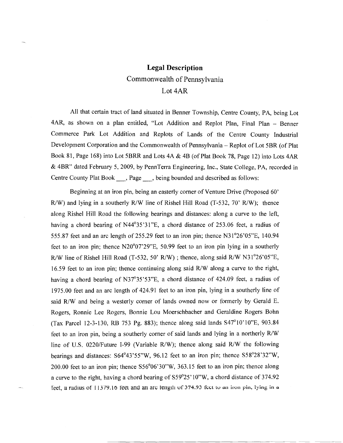### **Legal Description**  Commonwealth of Pennsylvania Lot 4AR

All that certain tract of land situated in Benner Township, Centre County, PA, being Lot 4AR, as shown on a plan entitled, "Lot Addition and Replot Plan, Final Plan - Benner Commerce Park Lot Addition and Replots of Lands of the Centre County Industrial Development Corporation and the Commonwealth of Pennsylvania - Replot of Lot 5BR (of Plat Book 81, Page 168) into Lot 5BRR and Lots 4A & 4B (of Plat Book 78, Page 12) into Lots 4AR & 4BR" dated February *5,* 2009, by PennTerra Engineering, Inc., State College, PA, recorded in Centre County Plat Book \_\_\_, Page \_\_\_, being bounded and described as follows:

Beginning at an iron pin, being an easterly corner of Venture Drive (Proposed 60' R/W) and lying in a southerly R/W line of Rishel Hill Road (T-532, 70' R/W); thence along Rishel Hill Road the following bearings and distances: along a curve to the left, having a chord bearing of N44°35'31"E, a chord distance of 253.06 feet, a radius of 555.87 feet and an arc length of 255.29 feet to an iron pin; thence N31<sup>o</sup>26'05"E, 140.94 feet to an iron pin; thence N20<sup>o</sup>07'29"E, 50.99 feet to an iron pin lying in a southerly R/W line of Rishel Hill Road *(T-532,* 50' R/W) ; thence, along said R/W N3 *1026'05"E,*  16.59 feet to an iron pin; thence continuing along said R/W along a curve to the right, having a chord bearing of N37°35'53"E, a chord distance of 424.09 feet, a radius of 1975.00 feet and an are length of 424.91 feet to an iron pin, lying in a southerly line of said R/W and being a westerly corner of lands owned now or formerly by Gerald E. Rogers, Ronnie Lee Rogers, Bonnie Lou Moerschbacher and Geraldine Rogers Bohn (Tax Parcel 12-3-130, RB 753 Pg. 883); thence along said lands S47°10'10"E, 903.84 feet to an iron pin, being a southerly corner of said lands and lying in a northerly R/W line of U.S. 0220/Future 1-99 (Variable R/W); thence along said R/W the following bearings and distances:  $S64^{\circ}43'55''W$ ,  $96.12$  feet to an iron pin; thence  $S58^{\circ}28'32''W$ , 200.00 feet to an iron pin; thence  $S56^{\circ}06'30''W$ , 363.15 feet to an iron pin; thence along a curve to the right, having a chord bearing of S59°25' 10"W, a chord distance of 374.92 feet, a radius of 11379.16 feet and an arc length of 374.93 feet to an iron pin, lying in a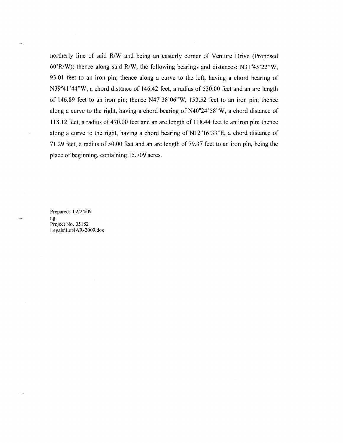northerly line of said R/W and being an easterly corner of Venture Drive (Proposed 60'R/W); thence along said R/W, the following bearings and distances:  $N31°45'22''W$ , 93.01 feet to an iron pin; thence along a curve to the left, having a chord bearing of N39°41'44"W, a chord distance of 146.42 feet, a radius of 530.00 feet and an arc length of 146.89 feet to an iron pin; thence N47°38'06"W, 153.52 feet to an iron pin; thence along a curve to the right, having a chord bearing of  $N40^{\circ}24'58''W$ , a chord distance of 118.12 feet, a radius of 470.00 feet and an arc length of 118.44 feet to an iron pin; thence along a curve to the right, having a chord bearing of  $N12^{\circ}16'33''E$ , a chord distance of 71.29 feet, a radius of 50.00 feet and an arc length of 79.37 feet to an iron pin, being the place of beginning, containing 15.709 acres.

Prepared: 02/24/09 ng Project No. 05182 Legals\Lot4AR-2009.doc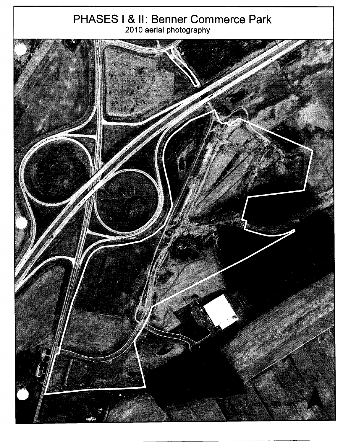